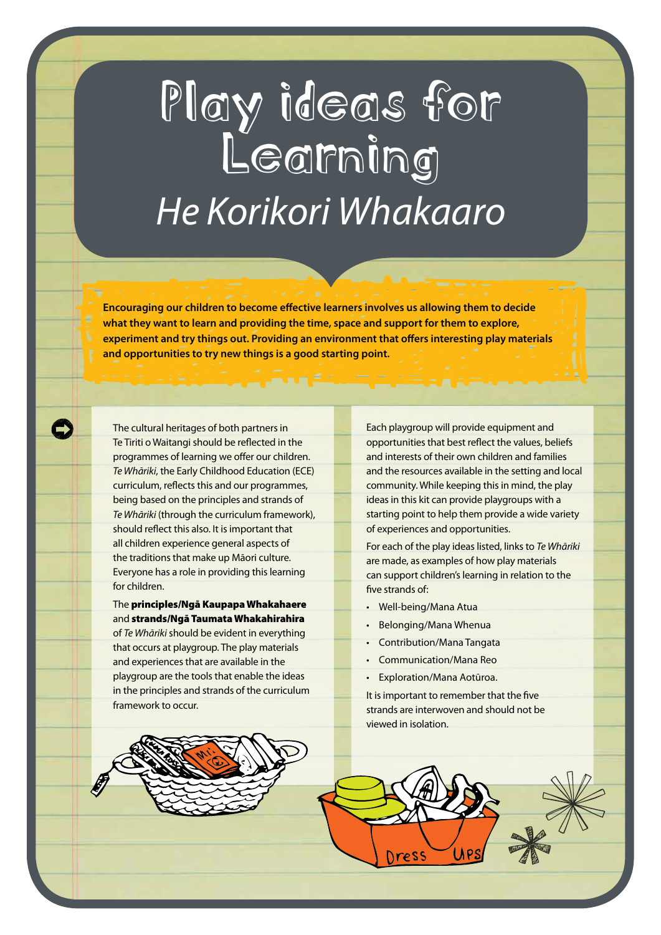## Play ideas for *He Korikori Whakaaro*

**Encouraging our children to become effective learners involves us allowing them to decide what they want to learn and providing the time, space and support for them to explore, experiment and try things out. Providing an environment that offers interesting play materials and opportunities to try new things is a good starting point.**

The cultural heritages of both partners in Te Tiriti o Waitangi should be reflected in the programmes of learning we offer our children. *Te Whāriki*, the Early Childhood Education (ECE) curriculum, reflects this and our programmes, being based on the principles and strands of *Te Whāriki* (through the curriculum framework), should reflect this also. It is important that all children experience general aspects of the traditions that make up Māori culture. Everyone has a role in providing this learning for children.

The principles/Ngā Kaupapa Whakahaere and strands/Ngā Taumata Whakahirahira of *Te Whāriki* should be evident in everything that occurs at playgroup. The play materials and experiences that are available in the playgroup are the tools that enable the ideas in the principles and strands of the curriculum framework to occur.

Each playgroup will provide equipment and opportunities that best reflect the values, beliefs and interests of their own children and families and the resources available in the setting and local community. While keeping this in mind, the play ideas in this kit can provide playgroups with a starting point to help them provide a wide variety of experiences and opportunities.

For each of the play ideas listed, links to *Te Whāriki* are made, as examples of how play materials can support children's learning in relation to the five strands of:

- Well-being/Mana Atua
- Belonging/Mana Whenua
- Contribution/Mana Tangata
- Communication/Mana Reo
- Exploration/Mana Aotūroa.

It is important to remember that the five strands are interwoven and should not be viewed in isolation.